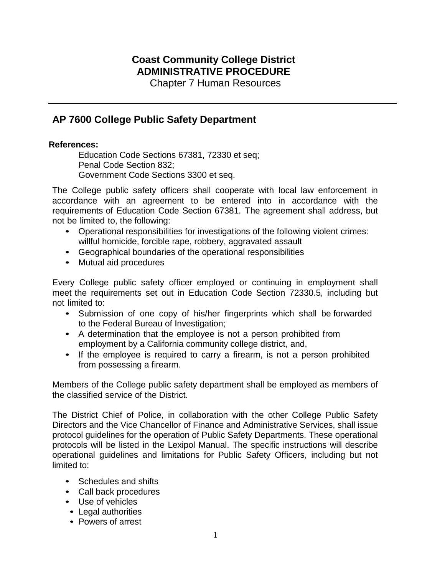## **Coast Community College District ADMINISTRATIVE PROCEDURE**

Chapter 7 Human Resources

## **AP 7600 College Public Safety Department**

## **References:**

Education Code Sections 67381, 72330 et seq; Penal Code Section 832; Government Code Sections 3300 et seq.

The College public safety officers shall cooperate with local law enforcement in accordance with an agreement to be entered into in accordance with the requirements of Education Code Section 67381. The agreement shall address, but not be limited to, the following:

- Operational responsibilities for investigations of the following violent crimes: willful homicide, forcible rape, robbery, aggravated assault
- Geographical boundaries of the operational responsibilities
- Mutual aid procedures

Every College public safety officer employed or continuing in employment shall meet the requirements set out in Education Code Section 72330.5, including but not limited to:

- Submission of one copy of his/her fingerprints which shall be forwarded to the Federal Bureau of Investigation;
- A determination that the employee is not a person prohibited from employment by a California community college district, and,
- If the employee is required to carry a firearm, is not a person prohibited from possessing a firearm.

Members of the College public safety department shall be employed as members of the classified service of the District.

The District Chief of Police, in collaboration with the other College Public Safety Directors and the Vice Chancellor of Finance and Administrative Services, shall issue protocol guidelines for the operation of Public Safety Departments. These operational protocols will be listed in the Lexipol Manual. The specific instructions will describe operational guidelines and limitations for Public Safety Officers, including but not limited to:

- Schedules and shifts
- Call back procedures
- Use of vehicles
- Legal authorities
- Powers of arrest